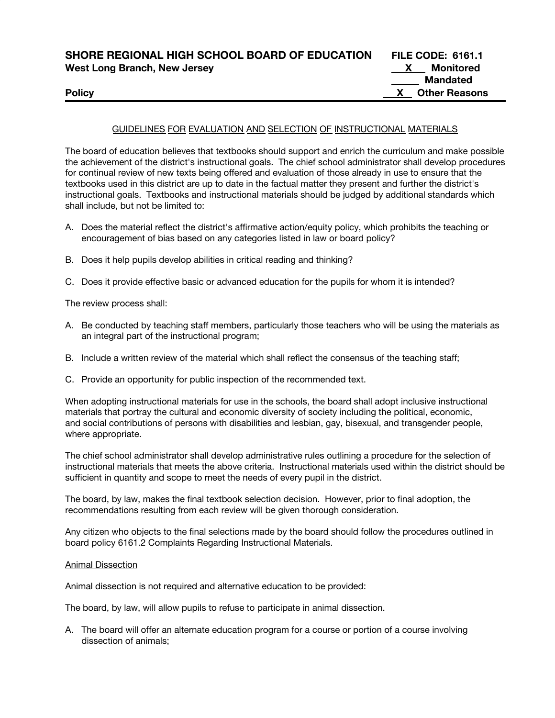| SHORE REGIONAL HIGH SCHOOL BOARD OF EDUCATION | <b>FILE CODE: 6161.1</b> |
|-----------------------------------------------|--------------------------|
| <b>West Long Branch, New Jersey</b>           | Monitored                |
|                                               | <b>Mandated</b>          |
| <b>Policy</b>                                 | <b>X</b> Other Reasons   |

#### GUIDELINES FOR EVALUATION AND SELECTION OF INSTRUCTIONAL MATERIALS

The board of education believes that textbooks should support and enrich the curriculum and make possible the achievement of the district's instructional goals. The chief school administrator shall develop procedures for continual review of new texts being offered and evaluation of those already in use to ensure that the textbooks used in this district are up to date in the factual matter they present and further the district's instructional goals. Textbooks and instructional materials should be judged by additional standards which shall include, but not be limited to:

- A. Does the material reflect the district's affirmative action/equity policy, which prohibits the teaching or encouragement of bias based on any categories listed in law or board policy?
- B. Does it help pupils develop abilities in critical reading and thinking?
- C. Does it provide effective basic or advanced education for the pupils for whom it is intended?

The review process shall:

- A. Be conducted by teaching staff members, particularly those teachers who will be using the materials as an integral part of the instructional program;
- B. Include a written review of the material which shall reflect the consensus of the teaching staff;
- C. Provide an opportunity for public inspection of the recommended text.

When adopting instructional materials for use in the schools, the board shall adopt inclusive instructional materials that portray the cultural and economic diversity of society including the political, economic, and social contributions of persons with disabilities and lesbian, gay, bisexual, and transgender people, where appropriate.

The chief school administrator shall develop administrative rules outlining a procedure for the selection of instructional materials that meets the above criteria. Instructional materials used within the district should be sufficient in quantity and scope to meet the needs of every pupil in the district.

The board, by law, makes the final textbook selection decision. However, prior to final adoption, the recommendations resulting from each review will be given thorough consideration.

Any citizen who objects to the final selections made by the board should follow the procedures outlined in board policy 6161.2 Complaints Regarding Instructional Materials.

#### Animal Dissection

Animal dissection is not required and alternative education to be provided:

The board, by law, will allow pupils to refuse to participate in animal dissection.

A. The board will offer an alternate education program for a course or portion of a course involving dissection of animals;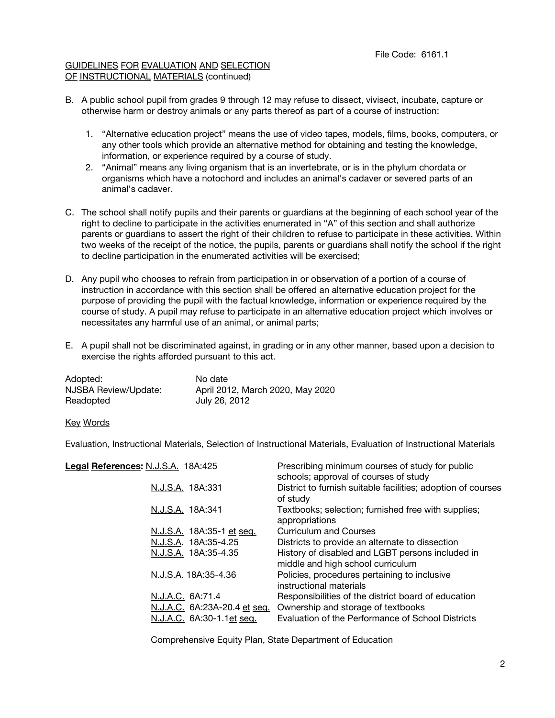### GUIDELINES FOR EVALUATION AND SELECTION OF INSTRUCTIONAL MATERIALS (continued)

- B. A public school pupil from grades 9 through 12 may refuse to dissect, vivisect, incubate, capture or otherwise harm or destroy animals or any parts thereof as part of a course of instruction:
	- 1. "Alternative education project" means the use of video tapes, models, films, books, computers, or any other tools which provide an alternative method for obtaining and testing the knowledge, information, or experience required by a course of study.
	- 2. "Animal" means any living organism that is an invertebrate, or is in the phylum chordata or organisms which have a notochord and includes an animal's cadaver or severed parts of an animal's cadaver.
- C. The school shall notify pupils and their parents or guardians at the beginning of each school year of the right to decline to participate in the activities enumerated in "A" of this section and shall authorize parents or guardians to assert the right of their children to refuse to participate in these activities. Within two weeks of the receipt of the notice, the pupils, parents or guardians shall notify the school if the right to decline participation in the enumerated activities will be exercised;
- D. Any pupil who chooses to refrain from participation in or observation of a portion of a course of instruction in accordance with this section shall be offered an alternative education project for the purpose of providing the pupil with the factual knowledge, information or experience required by the course of study. A pupil may refuse to participate in an alternative education project which involves or necessitates any harmful use of an animal, or animal parts;
- E. A pupil shall not be discriminated against, in grading or in any other manner, based upon a decision to exercise the rights afforded pursuant to this act.

| Adopted:             | No date                          |
|----------------------|----------------------------------|
| NJSBA Review/Update: | April 2012, March 2020, May 2020 |
| Readopted            | July 26, 2012                    |

### Key Words

Evaluation, Instructional Materials, Selection of Instructional Materials, Evaluation of Instructional Materials

| District to furnish suitable facilities; adoption of courses<br>N.J.S.A. 18A:331<br>of study<br>N.J.S.A. 18A:341<br>Textbooks; selection; furnished free with supplies;<br>appropriations<br><b>Curriculum and Courses</b><br>N.J.S.A. 18A:35-1 et seq.<br>N.J.S.A. 18A:35-4.25<br>Districts to provide an alternate to dissection<br>History of disabled and LGBT persons included in<br>N.J.S.A. 18A:35-4.35<br>middle and high school curriculum<br>Policies, procedures pertaining to inclusive<br>N.J.S.A. 18A:35-4.36<br>instructional materials<br>N.J.A.C. 6A:71.4<br>Responsibilities of the district board of education<br>N.J.A.C. 6A:23A-20.4 et seq.<br>Ownership and storage of textbooks<br>Evaluation of the Performance of School Districts<br>N.J.A.C. 6A:30-1.1et seq. | Legal References: N.J.S.A. 18A:425 | Prescribing minimum courses of study for public<br>schools; approval of courses of study |
|-------------------------------------------------------------------------------------------------------------------------------------------------------------------------------------------------------------------------------------------------------------------------------------------------------------------------------------------------------------------------------------------------------------------------------------------------------------------------------------------------------------------------------------------------------------------------------------------------------------------------------------------------------------------------------------------------------------------------------------------------------------------------------------------|------------------------------------|------------------------------------------------------------------------------------------|
|                                                                                                                                                                                                                                                                                                                                                                                                                                                                                                                                                                                                                                                                                                                                                                                           |                                    |                                                                                          |
|                                                                                                                                                                                                                                                                                                                                                                                                                                                                                                                                                                                                                                                                                                                                                                                           |                                    |                                                                                          |
|                                                                                                                                                                                                                                                                                                                                                                                                                                                                                                                                                                                                                                                                                                                                                                                           |                                    |                                                                                          |
|                                                                                                                                                                                                                                                                                                                                                                                                                                                                                                                                                                                                                                                                                                                                                                                           |                                    |                                                                                          |
|                                                                                                                                                                                                                                                                                                                                                                                                                                                                                                                                                                                                                                                                                                                                                                                           |                                    |                                                                                          |
|                                                                                                                                                                                                                                                                                                                                                                                                                                                                                                                                                                                                                                                                                                                                                                                           |                                    |                                                                                          |
|                                                                                                                                                                                                                                                                                                                                                                                                                                                                                                                                                                                                                                                                                                                                                                                           |                                    |                                                                                          |
|                                                                                                                                                                                                                                                                                                                                                                                                                                                                                                                                                                                                                                                                                                                                                                                           |                                    |                                                                                          |
|                                                                                                                                                                                                                                                                                                                                                                                                                                                                                                                                                                                                                                                                                                                                                                                           |                                    |                                                                                          |

Comprehensive Equity Plan, State Department of Education